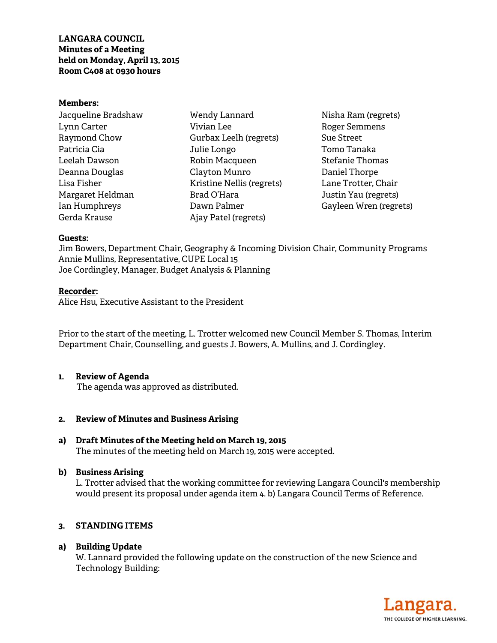#### **Members:**

Jacqueline Bradshaw Lynn Carter Raymond Chow Patricia Cia Leelah Dawson Deanna Douglas Lisa Fisher Margaret Heldman Ian Humphreys Gerda Krause

Wendy Lannard Vivian Lee Gurbax Leelh (regrets) Julie Longo Robin Macqueen Clayton Munro Kristine Nellis (regrets) Brad O'Hara Dawn Palmer Ajay Patel (regrets)

Nisha Ram (regrets) Roger Semmens Sue Street Tomo Tanaka Stefanie Thomas Daniel Thorpe Lane Trotter, Chair Justin Yau (regrets) Gayleen Wren (regrets)

### **Guests:**

Jim Bowers, Department Chair, Geography & Incoming Division Chair, Community Programs Annie Mullins, Representative, CUPE Local 15 Joe Cordingley, Manager, Budget Analysis & Planning

#### **Recorder:**

Alice Hsu, Executive Assistant to the President

Prior to the start of the meeting, L. Trotter welcomed new Council Member S. Thomas, Interim Department Chair, Counselling, and guests J. Bowers, A. Mullins, and J. Cordingley.

### **1. Review of Agenda**

The agenda was approved as distributed.

### **2. Review of Minutes and Business Arising**

**a) Draft Minutes of the Meeting held on March 19, 2015**  The minutes of the meeting held on March 19, 2015 were accepted.

### **b) Business Arising**

L. Trotter advised that the working committee for reviewing Langara Council's membership would present its proposal under agenda item 4. b) Langara Council Terms of Reference.

### **3. STANDING ITEMS**

### **a) Building Update**

W. Lannard provided the following update on the construction of the new Science and Technology Building:

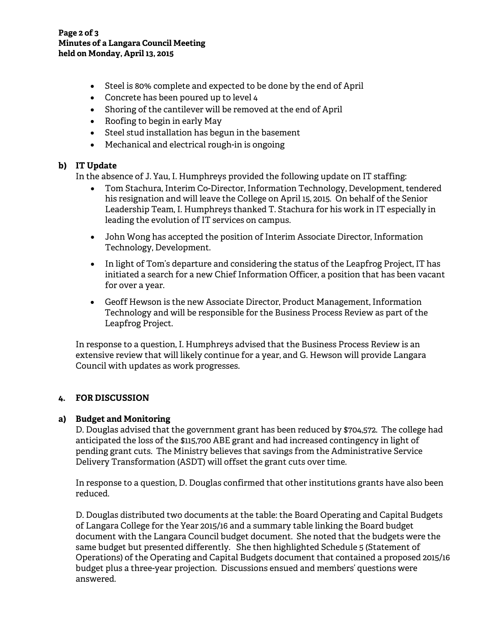- Steel is 80% complete and expected to be done by the end of April
- Concrete has been poured up to level 4
- Shoring of the cantilever will be removed at the end of April
- Roofing to begin in early May
- Steel stud installation has begun in the basement
- Mechanical and electrical rough-in is ongoing

# **b) IT Update**

In the absence of J. Yau, I. Humphreys provided the following update on IT staffing:

- Tom Stachura, Interim Co-Director, Information Technology, Development, tendered his resignation and will leave the College on April 15, 2015. On behalf of the Senior Leadership Team, I. Humphreys thanked T. Stachura for his work in IT especially in leading the evolution of IT services on campus.
- John Wong has accepted the position of Interim Associate Director, Information Technology, Development.
- In light of Tom's departure and considering the status of the Leapfrog Project, IT has initiated a search for a new Chief Information Officer, a position that has been vacant for over a year.
- Geoff Hewson is the new Associate Director, Product Management, Information Technology and will be responsible for the Business Process Review as part of the Leapfrog Project.

In response to a question, I. Humphreys advised that the Business Process Review is an extensive review that will likely continue for a year, and G. Hewson will provide Langara Council with updates as work progresses.

# **4. FOR DISCUSSION**

# **a) Budget and Monitoring**

D. Douglas advised that the government grant has been reduced by \$704,572. The college had anticipated the loss of the \$115,700 ABE grant and had increased contingency in light of pending grant cuts. The Ministry believes that savings from the Administrative Service Delivery Transformation (ASDT) will offset the grant cuts over time.

In response to a question, D. Douglas confirmed that other institutions grants have also been reduced.

D. Douglas distributed two documents at the table: the Board Operating and Capital Budgets of Langara College for the Year 2015/16 and a summary table linking the Board budget document with the Langara Council budget document. She noted that the budgets were the same budget but presented differently. She then highlighted Schedule 5 (Statement of Operations) of the Operating and Capital Budgets document that contained a proposed 2015/16 budget plus a three-year projection. Discussions ensued and members' questions were answered.